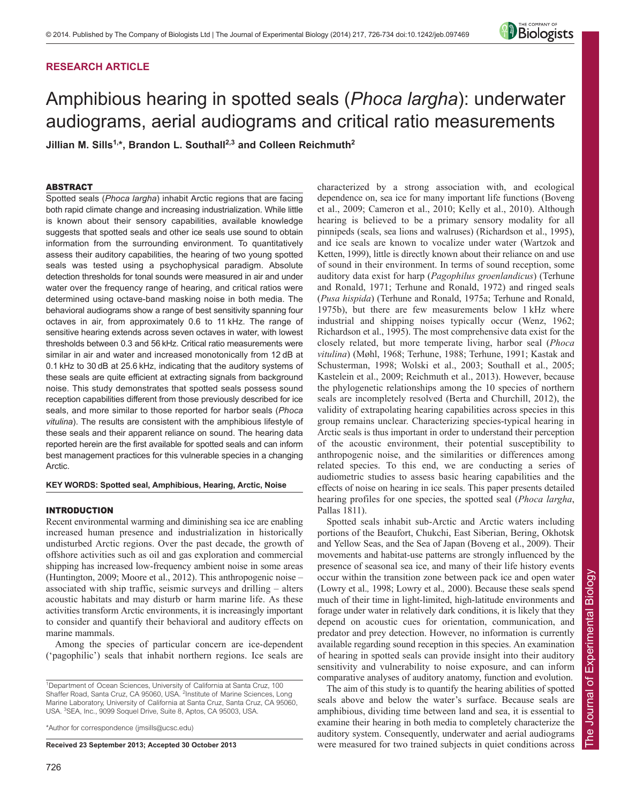# **RESEARCH ARTICLE**



# Amphibious hearing in spotted seals (*Phoca largha*): underwater audiograms, aerial audiograms and critical ratio measurements

Jillian M. Sills<sup>1,\*</sup>, Brandon L. Southall<sup>2,3</sup> and Colleen Reichmuth<sup>2</sup>

# ABSTRACT

Spotted seals (*Phoca largha*) inhabit Arctic regions that are facing both rapid climate change and increasing industrialization. While little is known about their sensory capabilities, available knowledge suggests that spotted seals and other ice seals use sound to obtain information from the surrounding environment. To quantitatively assess their auditory capabilities, the hearing of two young spotted seals was tested using a psychophysical paradigm. Absolute detection thresholds for tonal sounds were measured in air and under water over the frequency range of hearing, and critical ratios were determined using octave-band masking noise in both media. The behavioral audiograms show a range of best sensitivity spanning four octaves in air, from approximately 0.6 to 11 kHz. The range of sensitive hearing extends across seven octaves in water, with lowest thresholds between 0.3 and 56 kHz. Critical ratio measurements were similar in air and water and increased monotonically from 12 dB at 0.1 kHz to 30 dB at 25.6 kHz, indicating that the auditory systems of these seals are quite efficient at extracting signals from background noise. This study demonstrates that spotted seals possess sound reception capabilities different from those previously described for ice seals, and more similar to those reported for harbor seals (*Phoca vitulina*). The results are consistent with the amphibious lifestyle of these seals and their apparent reliance on sound. The hearing data reported herein are the first available for spotted seals and can inform best management practices for this vulnerable species in a changing Arctic.

**KEY WORDS: Spotted seal, Amphibious, Hearing, Arctic, Noise**

# INTRODUCTION

Recent environmental warming and diminishing sea ice are enabling increased human presence and industrialization in historically undisturbed Arctic regions. Over the past decade, the growth of offshore activities such as oil and gas exploration and commercial shipping has increased low-frequency ambient noise in some areas (Huntington, 2009; Moore et al., 2012). This anthropogenic noise – associated with ship traffic, seismic surveys and drilling – alters acoustic habitats and may disturb or harm marine life. As these activities transform Arctic environments, it is increasingly important to consider and quantify their behavioral and auditory effects on marine mammals.

Among the species of particular concern are ice-dependent ('pagophilic') seals that inhabit northern regions. Ice seals are

**Received 23 September 2013; Accepted 30 October 2013**

characterized by a strong association with, and ecological dependence on, sea ice for many important life functions (Boveng et al., 2009; Cameron et al., 2010; Kelly et al., 2010). Although hearing is believed to be a primary sensory modality for all pinnipeds (seals, sea lions and walruses) (Richardson et al., 1995), and ice seals are known to vocalize under water (Wartzok and Ketten, 1999), little is directly known about their reliance on and use of sound in their environment. In terms of sound reception, some auditory data exist for harp (*Pagophilus groenlandicus*) (Terhune and Ronald, 1971; Terhune and Ronald, 1972) and ringed seals (*Pusa hispida*) (Terhune and Ronald, 1975a; Terhune and Ronald, 1975b), but there are few measurements below 1 kHz where industrial and shipping noises typically occur (Wenz, 1962; Richardson et al., 1995). The most comprehensive data exist for the closely related, but more temperate living, harbor seal (*Phoca vitulina*) (Møhl, 1968; Terhune, 1988; Terhune, 1991; Kastak and Schusterman, 1998; Wolski et al., 2003; Southall et al., 2005; Kastelein et al., 2009; Reichmuth et al., 2013). However, because the phylogenetic relationships among the 10 species of northern seals are incompletely resolved (Berta and Churchill, 2012), the validity of extrapolating hearing capabilities across species in this group remains unclear. Characterizing species-typical hearing in Arctic seals is thus important in order to understand their perception of the acoustic environment, their potential susceptibility to anthropogenic noise, and the similarities or differences among related species. To this end, we are conducting a series of audiometric studies to assess basic hearing capabilities and the effects of noise on hearing in ice seals. This paper presents detailed hearing profiles for one species, the spotted seal (*Phoca largha*, Pallas 1811).

Spotted seals inhabit sub-Arctic and Arctic waters including portions of the Beaufort, Chukchi, East Siberian, Bering, Okhotsk and Yellow Seas, and the Sea of Japan (Boveng et al., 2009). Their movements and habitat-use patterns are strongly influenced by the presence of seasonal sea ice, and many of their life history events occur within the transition zone between pack ice and open water (Lowry et al.*,* 1998; Lowry et al.*,* 2000). Because these seals spend much of their time in light-limited, high-latitude environments and forage under water in relatively dark conditions, it is likely that they depend on acoustic cues for orientation, communication, and predator and prey detection. However, no information is currently available regarding sound reception in this species. An examination of hearing in spotted seals can provide insight into their auditory sensitivity and vulnerability to noise exposure, and can inform comparative analyses of auditory anatomy, function and evolution.

The aim of this study is to quantify the hearing abilities of spotted seals above and below the water's surface. Because seals are amphibious, dividing time between land and sea, it is essential to examine their hearing in both media to completely characterize the auditory system. Consequently, underwater and aerial audiograms were measured for two trained subjects in quiet conditions across

<sup>&</sup>lt;sup>1</sup>Department of Ocean Sciences, University of California at Santa Cruz, 100 Shaffer Road, Santa Cruz, CA 95060, USA. <sup>2</sup>Institute of Marine Sciences, Long Marine Laboratory, University of California at Santa Cruz, Santa Cruz, CA 95060, USA. <sup>3</sup>SEA, Inc., 9099 Soquel Drive, Suite 8, Aptos, CA 95003, USA.

<sup>\*</sup>Author for correspondence (jmsills@ucsc.edu)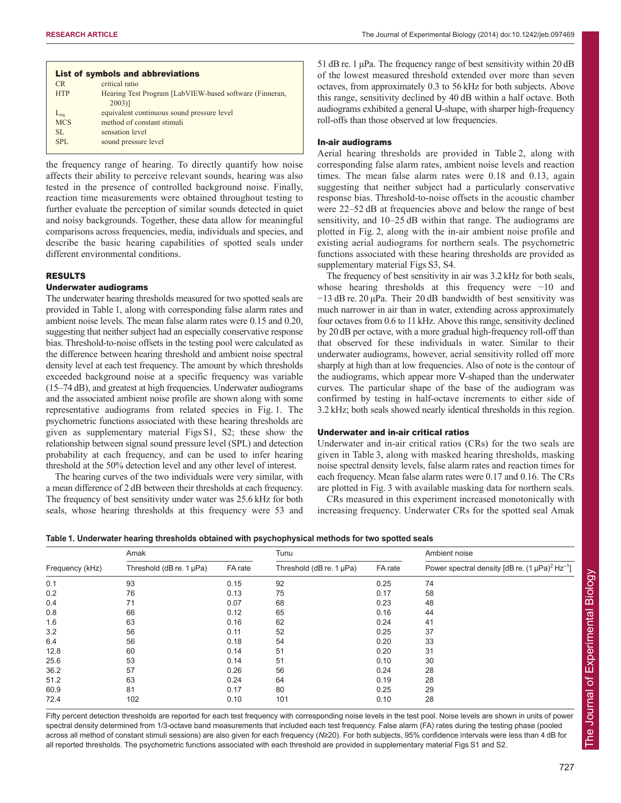|            | List of symbols and abbreviations                                   |
|------------|---------------------------------------------------------------------|
| CR.        | critical ratio                                                      |
| <b>HTP</b> | Hearing Test Program [LabVIEW-based software (Finneran,<br>$2003$ ] |
| $L_{eq}$   | equivalent continuous sound pressure level                          |
| <b>MCS</b> | method of constant stimuli                                          |
| SL.        | sensation level                                                     |
| SPL.       | sound pressure level                                                |

the frequency range of hearing. To directly quantify how noise affects their ability to perceive relevant sounds, hearing was also tested in the presence of controlled background noise. Finally, reaction time measurements were obtained throughout testing to further evaluate the perception of similar sounds detected in quiet and noisy backgrounds. Together, these data allow for meaningful comparisons across frequencies, media, individuals and species, and describe the basic hearing capabilities of spotted seals under different environmental conditions.

# RESULTS

# Underwater audiograms

The underwater hearing thresholds measured for two spotted seals are provided in Table 1, along with corresponding false alarm rates and ambient noise levels. The mean false alarm rates were 0.15 and 0.20, suggesting that neither subject had an especially conservative response bias. Threshold-to-noise offsets in the testing pool were calculated as the difference between hearing threshold and ambient noise spectral density level at each test frequency. The amount by which thresholds exceeded background noise at a specific frequency was variable (15–74 dB), and greatest at high frequencies. Underwater audiograms and the associated ambient noise profile are shown along with some representative audiograms from related species in Fig. 1. The psychometric functions associated with these hearing thresholds are given as supplementary material Figs S1, S2; these show the relationship between signal sound pressure level (SPL) and detection probability at each frequency, and can be used to infer hearing threshold at the 50% detection level and any other level of interest.

The hearing curves of the two individuals were very similar, with a mean difference of 2 dB between their thresholds at each frequency. The frequency of best sensitivity under water was 25.6 kHz for both seals, whose hearing thresholds at this frequency were 53 and 51 dB re. 1 μPa. The frequency range of best sensitivity within 20 dB of the lowest measured threshold extended over more than seven octaves, from approximately 0.3 to 56 kHz for both subjects. Above this range, sensitivity declined by 40 dB within a half octave. Both audiograms exhibited a general U-shape, with sharper high-frequency roll-offs than those observed at low frequencies.

# In-air audiograms

Aerial hearing thresholds are provided in Table 2, along with corresponding false alarm rates, ambient noise levels and reaction times. The mean false alarm rates were 0.18 and 0.13, again suggesting that neither subject had a particularly conservative response bias. Threshold-to-noise offsets in the acoustic chamber were 22–52 dB at frequencies above and below the range of best sensitivity, and 10–25 dB within that range. The audiograms are plotted in Fig. 2, along with the in-air ambient noise profile and existing aerial audiograms for northern seals. The psychometric functions associated with these hearing thresholds are provided as supplementary material Figs S3, S4.

The frequency of best sensitivity in air was 3.2 kHz for both seals, whose hearing thresholds at this frequency were −10 and −13 dB re. 20 μPa. Their 20 dB bandwidth of best sensitivity was much narrower in air than in water, extending across approximately four octaves from 0.6 to 11 kHz. Above this range, sensitivity declined by 20 dB per octave, with a more gradual high-frequency roll-off than that observed for these individuals in water. Similar to their underwater audiograms, however, aerial sensitivity rolled off more sharply at high than at low frequencies. Also of note is the contour of the audiograms, which appear more V-shaped than the underwater curves. The particular shape of the base of the audiogram was confirmed by testing in half-octave increments to either side of 3.2 kHz; both seals showed nearly identical thresholds in this region.

# Underwater and in-air critical ratios

Underwater and in-air critical ratios (CRs) for the two seals are given in Table 3, along with masked hearing thresholds, masking noise spectral density levels, false alarm rates and reaction times for each frequency. Mean false alarm rates were 0.17 and 0.16. The CRs are plotted in Fig. 3 with available masking data for northern seals.

CRs measured in this experiment increased monotonically with increasing frequency. Underwater CRs for the spotted seal Amak

| Table 1. Underwater hearing thresholds obtained with psychophysical methods for two spotted seals |  |  |
|---------------------------------------------------------------------------------------------------|--|--|
|                                                                                                   |  |  |

|                 |                          | . .     | . .                      |         |                                                                |  |  |
|-----------------|--------------------------|---------|--------------------------|---------|----------------------------------------------------------------|--|--|
|                 | Amak                     |         | Tunu                     |         | Ambient noise                                                  |  |  |
| Frequency (kHz) | Threshold (dB re. 1 µPa) | FA rate | Threshold (dB re. 1 µPa) | FA rate | Power spectral density $[dB \rvert e$ . $(1 \mu Pa)^2 Hz^{-1}$ |  |  |
| 0.1             | 93                       | 0.15    | 92                       | 0.25    | 74                                                             |  |  |
| 0.2             | 76                       | 0.13    | 75                       | 0.17    | 58                                                             |  |  |
| 0.4             | 71                       | 0.07    | 68                       | 0.23    | 48                                                             |  |  |
| 0.8             | 66                       | 0.12    | 65                       | 0.16    | 44                                                             |  |  |
| 1.6             | 63                       | 0.16    | 62                       | 0.24    | 41                                                             |  |  |
| 3.2             | 56                       | 0.11    | 52                       | 0.25    | 37                                                             |  |  |
| 6.4             | 56                       | 0.18    | 54                       | 0.20    | 33                                                             |  |  |
| 12.8            | 60                       | 0.14    | 51                       | 0.20    | 31                                                             |  |  |
| 25.6            | 53                       | 0.14    | 51                       | 0.10    | 30                                                             |  |  |
| 36.2            | 57                       | 0.26    | 56                       | 0.24    | 28                                                             |  |  |
| 51.2            | 63                       | 0.24    | 64                       | 0.19    | 28                                                             |  |  |
| 60.9            | 81                       | 0.17    | 80                       | 0.25    | 29                                                             |  |  |
| 72.4            | 102                      | 0.10    | 101                      | 0.10    | 28                                                             |  |  |

Fifty percent detection thresholds are reported for each test frequency with corresponding noise levels in the test pool. Noise levels are shown in units of power spectral density determined from 1/3-octave band measurements that included each test frequency. False alarm (FA) rates during the testing phase (pooled across all method of constant stimuli sessions) are also given for each frequency (*N*≥20). For both subjects, 95% confidence intervals were less than 4 dB for all reported thresholds. The psychometric functions associated with each threshold are provided in supplementary material Figs S1 and S2.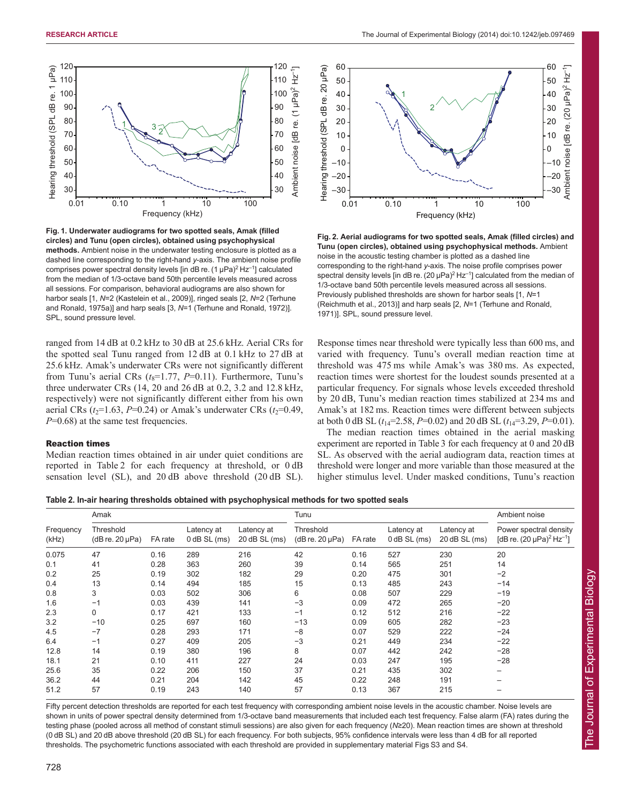

**Fig. 1. Underwater audiograms for two spotted seals, Amak (filled circles) and Tunu (open circles), obtained using psychophysical methods.** Ambient noise in the underwater testing enclosure is plotted as a dashed line corresponding to the right-hand *y*-axis. The ambient noise profile comprises power spectral density levels [in dB re. (1  $\mu$ Pa)<sup>2</sup> Hz<sup>-1</sup>] calculated from the median of 1/3-octave band 50th percentile levels measured across all sessions. For comparison, behavioral audiograms are also shown for harbor seals [1, *N*=2 (Kastelein et al., 2009)], ringed seals [2, *N*=2 (Terhune and Ronald, 1975a)] and harp seals [3, *N*=1 (Terhune and Ronald, 1972)]. SPL, sound pressure level.

ranged from 14 dB at 0.2 kHz to 30 dB at 25.6 kHz. Aerial CRs for the spotted seal Tunu ranged from 12 dB at 0.1 kHz to 27 dB at 25.6 kHz. Amak's underwater CRs were not significantly different from Tunu's aerial CRs  $(t_8=1.77, P=0.11)$ . Furthermore, Tunu's three underwater CRs (14, 20 and 26 dB at 0.2, 3.2 and 12.8 kHz, respectively) were not significantly different either from his own aerial CRs ( $t_2$ =1.63, *P*=0.24) or Amak's underwater CRs ( $t_2$ =0.49, *P*=0.68) at the same test frequencies.

# Reaction times

Median reaction times obtained in air under quiet conditions are reported in Table 2 for each frequency at threshold, or 0 dB sensation level (SL), and 20 dB above threshold (20 dB SL).



**Fig. 2. Aerial audiograms for two spotted seals, Amak (filled circles) and Tunu (open circles), obtained using psychophysical methods.** Ambient noise in the acoustic testing chamber is plotted as a dashed line corresponding to the right-hand *y*-axis. The noise profile comprises power spectral density levels [in dB re. (20  $\mu$ Pa)<sup>2</sup> Hz<sup>-1</sup>] calculated from the median of 1/3-octave band 50th percentile levels measured across all sessions. Previously published thresholds are shown for harbor seals [1, *N*=1 (Reichmuth et al., 2013)] and harp seals [2, *N*=1 (Terhune and Ronald, 1971)]. SPL, sound pressure level.

Response times near threshold were typically less than 600 ms, and varied with frequency. Tunu's overall median reaction time at threshold was 475 ms while Amak's was 380 ms. As expected, reaction times were shortest for the loudest sounds presented at a particular frequency. For signals whose levels exceeded threshold by 20 dB, Tunu's median reaction times stabilized at 234 ms and Amak's at 182 ms. Reaction times were different between subjects at both 0 dB SL ( $t_{14}$ =2.58, *P*=0.02) and 20 dB SL ( $t_{14}$ =3.29, *P*=0.01).

The median reaction times obtained in the aerial masking experiment are reported in Table 3 for each frequency at 0 and 20 dB SL. As observed with the aerial audiogram data, reaction times at threshold were longer and more variable than those measured at the higher stimulus level. Under masked conditions, Tunu's reaction

**Table 2. In-air hearing thresholds obtained with psychophysical methods for two spotted seals**

| Frequency<br>(kHz) | Amak                         |         |                              | Tunu                        | Ambient noise                |         |                              |                             |                                                                        |
|--------------------|------------------------------|---------|------------------------------|-----------------------------|------------------------------|---------|------------------------------|-----------------------------|------------------------------------------------------------------------|
|                    | Threshold<br>(dB re. 20 µPa) | FA rate | Latency at<br>$0$ dB SL (ms) | Latency at<br>20 dB SL (ms) | Threshold<br>(dB re. 20 µPa) | FA rate | Latency at<br>$0$ dB SL (ms) | Latency at<br>20 dB SL (ms) | Power spectral density<br>[dB re. $(20 \,\mu Pa)^2$ Hz <sup>-1</sup> ] |
| 0.075              | 47                           | 0.16    | 289                          | 216                         | 42                           | 0.16    | 527                          | 230                         | 20                                                                     |
| 0.1                | 41                           | 0.28    | 363                          | 260                         | 39                           | 0.14    | 565                          | 251                         | 14                                                                     |
| 0.2                | 25                           | 0.19    | 302                          | 182                         | 29                           | 0.20    | 475                          | 301                         | $-2$                                                                   |
| 0.4                | 13                           | 0.14    | 494                          | 185                         | 15                           | 0.13    | 485                          | 243                         | $-14$                                                                  |
| 0.8                | 3                            | 0.03    | 502                          | 306                         | 6                            | 0.08    | 507                          | 229                         | $-19$                                                                  |
| 1.6                | -1                           | 0.03    | 439                          | 141                         | $-3$                         | 0.09    | 472                          | 265                         | $-20$                                                                  |
| 2.3                | $\Omega$                     | 0.17    | 421                          | 133                         | $-1$                         | 0.12    | 512                          | 216                         | $-22$                                                                  |
| 3.2                | $-10$                        | 0.25    | 697                          | 160                         | $-13$                        | 0.09    | 605                          | 282                         | $-23$                                                                  |
| 4.5                | $-7$                         | 0.28    | 293                          | 171                         | $-8$                         | 0.07    | 529                          | 222                         | $-24$                                                                  |
| 6.4                | $-1$                         | 0.27    | 409                          | 205                         | $-3$                         | 0.21    | 449                          | 234                         | $-22$                                                                  |
| 12.8               | 14                           | 0.19    | 380                          | 196                         | 8                            | 0.07    | 442                          | 242                         | $-28$                                                                  |
| 18.1               | 21                           | 0.10    | 411                          | 227                         | 24                           | 0.03    | 247                          | 195                         | $-28$                                                                  |
| 25.6               | 35                           | 0.22    | 206                          | 150                         | 37                           | 0.21    | 435                          | 302                         | -                                                                      |
| 36.2               | 44                           | 0.21    | 204                          | 142                         | 45                           | 0.22    | 248                          | 191                         |                                                                        |
| 51.2               | 57                           | 0.19    | 243                          | 140                         | 57                           | 0.13    | 367                          | 215                         |                                                                        |

Fifty percent detection thresholds are reported for each test frequency with corresponding ambient noise levels in the acoustic chamber. Noise levels are shown in units of power spectral density determined from 1/3-octave band measurements that included each test frequency. False alarm (FA) rates during the testing phase (pooled across all method of constant stimuli sessions) are also given for each frequency (*N*≥20). Mean reaction times are shown at threshold (0 dB SL) and 20 dB above threshold (20 dB SL) for each frequency. For both subjects, 95% confidence intervals were less than 4 dB for all reported thresholds. The psychometric functions associated with each threshold are provided in supplementary material Figs S3 and S4.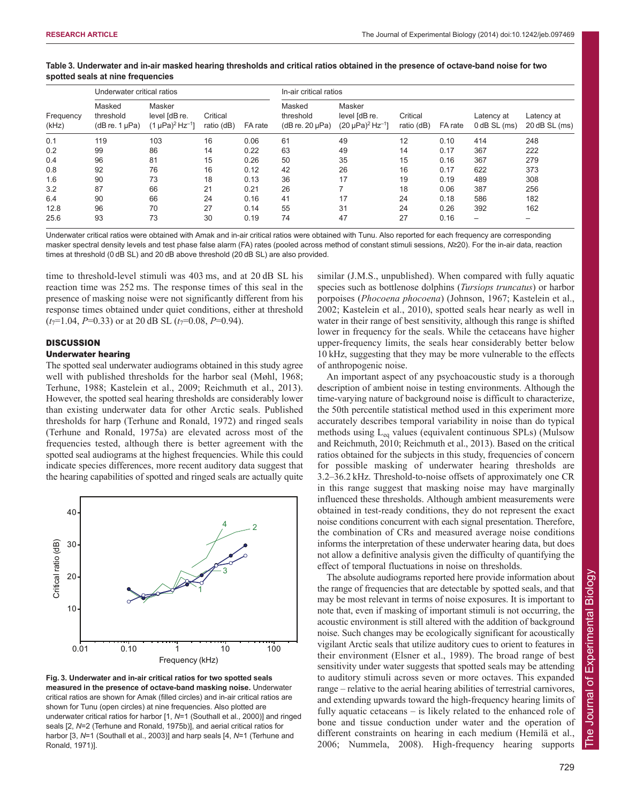| Frequency<br>(kHz) | Underwater critical ratios            |                                                   |                        |         | In-air critical ratios                      |                                                      |                        |         |                              |                             |
|--------------------|---------------------------------------|---------------------------------------------------|------------------------|---------|---------------------------------------------|------------------------------------------------------|------------------------|---------|------------------------------|-----------------------------|
|                    | Masked<br>threshold<br>(dB re. 1 µPa) | Masker<br>level [dB re.<br>$(1 \mu Pa)^2 Hz^{-1}$ | Critical<br>ratio (dB) | FA rate | Masked<br>threshold<br>$(dB re. 20 \mu Pa)$ | Masker<br>level [dB re.<br>$(20 \mu Pa)^2 Hz^{-1}$ ] | Critical<br>ratio (dB) | FA rate | Latency at<br>$0$ dB SL (ms) | Latency at<br>20 dB SL (ms) |
| 0.1                | 119                                   | 103                                               | 16                     | 0.06    | 61                                          | 49                                                   | 12                     | 0.10    | 414                          | 248                         |
| 0.2                | 99                                    | 86                                                | 14                     | 0.22    | 63                                          | 49                                                   | 14                     | 0.17    | 367                          | 222                         |
| 0.4                | 96                                    | 81                                                | 15                     | 0.26    | 50                                          | 35                                                   | 15                     | 0.16    | 367                          | 279                         |
| 0.8                | 92                                    | 76                                                | 16                     | 0.12    | 42                                          | 26                                                   | 16                     | 0.17    | 622                          | 373                         |
| 1.6                | 90                                    | 73                                                | 18                     | 0.13    | 36                                          | 17                                                   | 19                     | 0.19    | 489                          | 308                         |
| 3.2                | 87                                    | 66                                                | 21                     | 0.21    | 26                                          |                                                      | 18                     | 0.06    | 387                          | 256                         |
| 6.4                | 90                                    | 66                                                | 24                     | 0.16    | 41                                          | 17                                                   | 24                     | 0.18    | 586                          | 182                         |
| 12.8               | 96                                    | 70                                                | 27                     | 0.14    | 55                                          | 31                                                   | 24                     | 0.26    | 392                          | 162                         |
| 25.6               | 93                                    | 73                                                | 30                     | 0.19    | 74                                          | 47                                                   | 27                     | 0.16    | $\qquad \qquad \blacksquare$ |                             |

## **Table 3. Underwater and in-air masked hearing thresholds and critical ratios obtained in the presence of octave-band noise for two spotted seals at nine frequencies**

Underwater critical ratios were obtained with Amak and in-air critical ratios were obtained with Tunu. Also reported for each frequency are corresponding masker spectral density levels and test phase false alarm (FA) rates (pooled across method of constant stimuli sessions, *N*≥20). For the in-air data, reaction times at threshold (0 dB SL) and 20 dB above threshold (20 dB SL) are also provided.

time to threshold-level stimuli was 403 ms, and at 20 dB SL his reaction time was 252 ms. The response times of this seal in the presence of masking noise were not significantly different from his response times obtained under quiet conditions, either at threshold  $(t_7=1.04, P=0.33)$  or at 20 dB SL  $(t_7=0.08, P=0.94)$ .

# **DISCUSSION**

# Underwater hearing

The spotted seal underwater audiograms obtained in this study agree well with published thresholds for the harbor seal (Møhl, 1968; Terhune, 1988; Kastelein et al., 2009; Reichmuth et al., 2013). However, the spotted seal hearing thresholds are considerably lower than existing underwater data for other Arctic seals. Published thresholds for harp (Terhune and Ronald, 1972) and ringed seals (Terhune and Ronald, 1975a) are elevated across most of the frequencies tested, although there is better agreement with the spotted seal audiograms at the highest frequencies. While this could indicate species differences, more recent auditory data suggest that the hearing capabilities of spotted and ringed seals are actually quite



**Fig. 3. Underwater and in-air critical ratios for two spotted seals measured in the presence of octave-band masking noise.** Underwater critical ratios are shown for Amak (filled circles) and in-air critical ratios are shown for Tunu (open circles) at nine frequencies. Also plotted are underwater critical ratios for harbor [1, *N*=1 (Southall et al., 2000)] and ringed seals [2, *N*=2 (Terhune and Ronald, 1975b)], and aerial critical ratios for harbor [3, *N*=1 (Southall et al., 2003)] and harp seals [4, *N*=1 (Terhune and Ronald, 1971)].

similar (J.M.S., unpublished). When compared with fully aquatic species such as bottlenose dolphins (*Tursiops truncatus*) or harbor porpoises (*Phocoena phocoena*) (Johnson, 1967; Kastelein et al., 2002; Kastelein et al., 2010), spotted seals hear nearly as well in water in their range of best sensitivity, although this range is shifted lower in frequency for the seals. While the cetaceans have higher upper-frequency limits, the seals hear considerably better below 10 kHz, suggesting that they may be more vulnerable to the effects of anthropogenic noise.

An important aspect of any psychoacoustic study is a thorough description of ambient noise in testing environments. Although the time-varying nature of background noise is difficult to characterize, the 50th percentile statistical method used in this experiment more accurately describes temporal variability in noise than do typical methods using  $L_{eq}$  values (equivalent continuous SPLs) (Mulsow and Reichmuth, 2010; Reichmuth et al., 2013). Based on the critical ratios obtained for the subjects in this study, frequencies of concern for possible masking of underwater hearing thresholds are 3.2–36.2 kHz. Threshold-to-noise offsets of approximately one CR in this range suggest that masking noise may have marginally influenced these thresholds. Although ambient measurements were obtained in test-ready conditions, they do not represent the exact noise conditions concurrent with each signal presentation. Therefore, the combination of CRs and measured average noise conditions informs the interpretation of these underwater hearing data, but does not allow a definitive analysis given the difficulty of quantifying the effect of temporal fluctuations in noise on thresholds.

The absolute audiograms reported here provide information about the range of frequencies that are detectable by spotted seals, and that may be most relevant in terms of noise exposures. It is important to note that, even if masking of important stimuli is not occurring, the acoustic environment is still altered with the addition of background noise. Such changes may be ecologically significant for acoustically vigilant Arctic seals that utilize auditory cues to orient to features in their environment (Elsner et al., 1989). The broad range of best sensitivity under water suggests that spotted seals may be attending to auditory stimuli across seven or more octaves. This expanded range – relative to the aerial hearing abilities of terrestrial carnivores, and extending upwards toward the high-frequency hearing limits of fully aquatic cetaceans – is likely related to the enhanced role of bone and tissue conduction under water and the operation of different constraints on hearing in each medium (Hemilä et al., 2006; Nummela, 2008). High-frequency hearing supports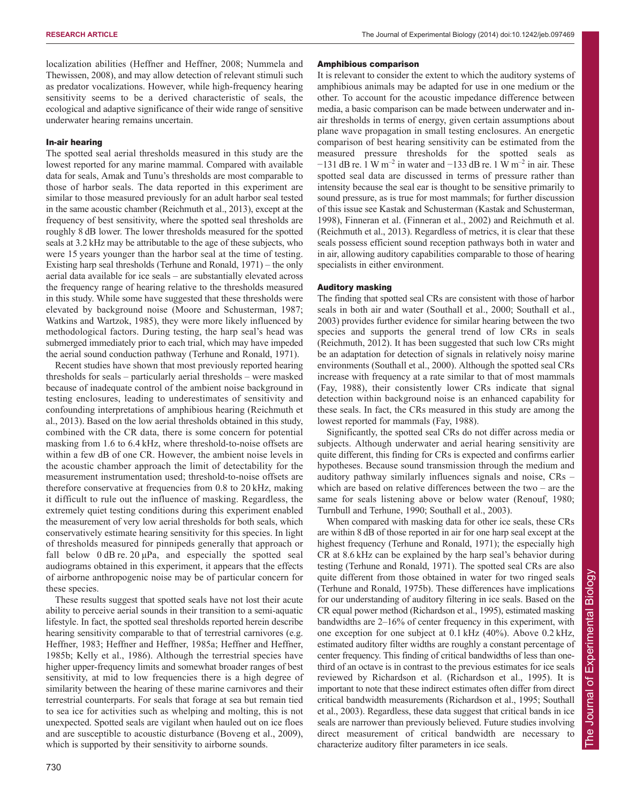localization abilities (Heffner and Heffner, 2008; Nummela and Thewissen, 2008), and may allow detection of relevant stimuli such as predator vocalizations. However, while high-frequency hearing sensitivity seems to be a derived characteristic of seals, the ecological and adaptive significance of their wide range of sensitive underwater hearing remains uncertain.

# In-air hearing

The spotted seal aerial thresholds measured in this study are the lowest reported for any marine mammal. Compared with available data for seals, Amak and Tunu's thresholds are most comparable to those of harbor seals. The data reported in this experiment are similar to those measured previously for an adult harbor seal tested in the same acoustic chamber (Reichmuth et al., 2013), except at the frequency of best sensitivity, where the spotted seal thresholds are roughly 8 dB lower. The lower thresholds measured for the spotted seals at 3.2 kHz may be attributable to the age of these subjects, who were 15 years younger than the harbor seal at the time of testing. Existing harp seal thresholds (Terhune and Ronald, 1971) – the only aerial data available for ice seals – are substantially elevated across the frequency range of hearing relative to the thresholds measured in this study. While some have suggested that these thresholds were elevated by background noise (Moore and Schusterman, 1987; Watkins and Wartzok, 1985), they were more likely influenced by methodological factors. During testing, the harp seal's head was submerged immediately prior to each trial, which may have impeded the aerial sound conduction pathway (Terhune and Ronald, 1971).

Recent studies have shown that most previously reported hearing thresholds for seals – particularly aerial thresholds – were masked because of inadequate control of the ambient noise background in testing enclosures, leading to underestimates of sensitivity and confounding interpretations of amphibious hearing (Reichmuth et al., 2013). Based on the low aerial thresholds obtained in this study, combined with the CR data, there is some concern for potential masking from 1.6 to 6.4 kHz, where threshold-to-noise offsets are within a few dB of one CR. However, the ambient noise levels in the acoustic chamber approach the limit of detectability for the measurement instrumentation used; threshold-to-noise offsets are therefore conservative at frequencies from 0.8 to 20 kHz, making it difficult to rule out the influence of masking. Regardless, the extremely quiet testing conditions during this experiment enabled the measurement of very low aerial thresholds for both seals, which conservatively estimate hearing sensitivity for this species. In light of thresholds measured for pinnipeds generally that approach or fall below  $0 dB$  re.  $20 \mu Pa$ , and especially the spotted seal audiograms obtained in this experiment, it appears that the effects of airborne anthropogenic noise may be of particular concern for these species.

These results suggest that spotted seals have not lost their acute ability to perceive aerial sounds in their transition to a semi-aquatic lifestyle. In fact, the spotted seal thresholds reported herein describe hearing sensitivity comparable to that of terrestrial carnivores (e.g. Heffner, 1983; Heffner and Heffner, 1985a; Heffner and Heffner, 1985b; Kelly et al., 1986). Although the terrestrial species have higher upper-frequency limits and somewhat broader ranges of best sensitivity, at mid to low frequencies there is a high degree of similarity between the hearing of these marine carnivores and their terrestrial counterparts. For seals that forage at sea but remain tied to sea ice for activities such as whelping and molting, this is not unexpected. Spotted seals are vigilant when hauled out on ice floes and are susceptible to acoustic disturbance (Boveng et al., 2009), which is supported by their sensitivity to airborne sounds.

## Amphibious comparison

It is relevant to consider the extent to which the auditory systems of amphibious animals may be adapted for use in one medium or the other. To account for the acoustic impedance difference between media, a basic comparison can be made between underwater and inair thresholds in terms of energy, given certain assumptions about plane wave propagation in small testing enclosures. An energetic comparison of best hearing sensitivity can be estimated from the measured pressure thresholds for the spotted seals as −131 dB re. 1 W m–2 in water and −133 dB re. 1 W m–2 in air. These spotted seal data are discussed in terms of pressure rather than intensity because the seal ear is thought to be sensitive primarily to sound pressure, as is true for most mammals; for further discussion of this issue see Kastak and Schusterman (Kastak and Schusterman, 1998), Finneran et al. (Finneran et al., 2002) and Reichmuth et al. (Reichmuth et al., 2013). Regardless of metrics, it is clear that these seals possess efficient sound reception pathways both in water and in air, allowing auditory capabilities comparable to those of hearing specialists in either environment.

# Auditory masking

The finding that spotted seal CRs are consistent with those of harbor seals in both air and water (Southall et al., 2000; Southall et al., 2003) provides further evidence for similar hearing between the two species and supports the general trend of low CRs in seals (Reichmuth, 2012). It has been suggested that such low CRs might be an adaptation for detection of signals in relatively noisy marine environments (Southall et al., 2000). Although the spotted seal CRs increase with frequency at a rate similar to that of most mammals (Fay, 1988), their consistently lower CRs indicate that signal detection within background noise is an enhanced capability for these seals. In fact, the CRs measured in this study are among the lowest reported for mammals (Fay, 1988).

Significantly, the spotted seal CRs do not differ across media or subjects. Although underwater and aerial hearing sensitivity are quite different, this finding for CRs is expected and confirms earlier hypotheses. Because sound transmission through the medium and auditory pathway similarly influences signals and noise, CRs – which are based on relative differences between the two – are the same for seals listening above or below water (Renouf, 1980; Turnbull and Terhune, 1990; Southall et al., 2003).

When compared with masking data for other ice seals, these CRs are within 8 dB of those reported in air for one harp seal except at the highest frequency (Terhune and Ronald, 1971); the especially high CR at 8.6 kHz can be explained by the harp seal's behavior during testing (Terhune and Ronald, 1971). The spotted seal CRs are also quite different from those obtained in water for two ringed seals (Terhune and Ronald, 1975b). These differences have implications for our understanding of auditory filtering in ice seals. Based on the CR equal power method (Richardson et al., 1995), estimated masking bandwidths are 2–16% of center frequency in this experiment, with one exception for one subject at 0.1 kHz (40%). Above 0.2 kHz, estimated auditory filter widths are roughly a constant percentage of center frequency. This finding of critical bandwidths of less than onethird of an octave is in contrast to the previous estimates for ice seals reviewed by Richardson et al. (Richardson et al., 1995). It is important to note that these indirect estimates often differ from direct critical bandwidth measurements (Richardson et al., 1995; Southall et al., 2003). Regardless, these data suggest that critical bands in ice seals are narrower than previously believed. Future studies involving direct measurement of critical bandwidth are necessary to characterize auditory filter parameters in ice seals.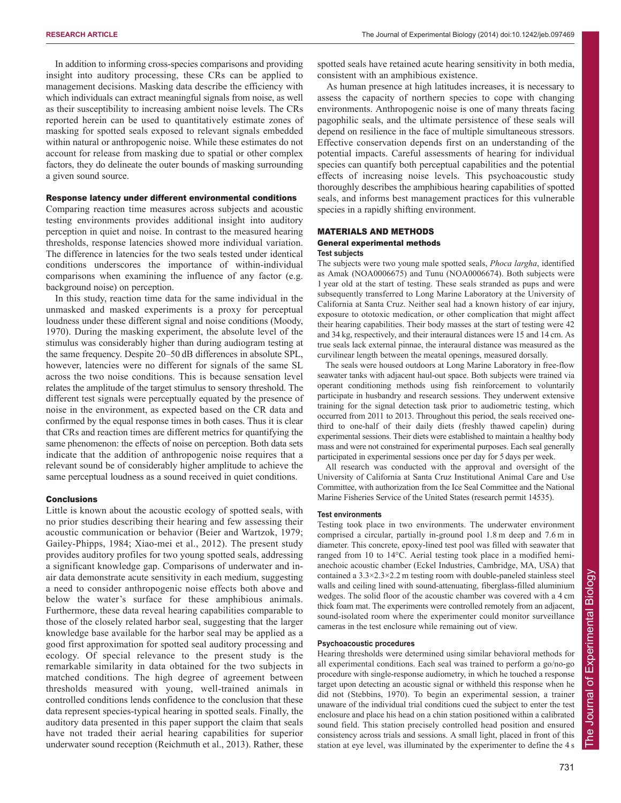In addition to informing cross-species comparisons and providing insight into auditory processing, these CRs can be applied to management decisions. Masking data describe the efficiency with which individuals can extract meaningful signals from noise, as well as their susceptibility to increasing ambient noise levels. The CRs reported herein can be used to quantitatively estimate zones of masking for spotted seals exposed to relevant signals embedded within natural or anthropogenic noise. While these estimates do not account for release from masking due to spatial or other complex factors, they do delineate the outer bounds of masking surrounding a given sound source.

## Response latency under different environmental conditions

Comparing reaction time measures across subjects and acoustic testing environments provides additional insight into auditory perception in quiet and noise. In contrast to the measured hearing thresholds, response latencies showed more individual variation. The difference in latencies for the two seals tested under identical conditions underscores the importance of within-individual comparisons when examining the influence of any factor (e.g. background noise) on perception.

In this study, reaction time data for the same individual in the unmasked and masked experiments is a proxy for perceptual loudness under these different signal and noise conditions (Moody, 1970). During the masking experiment, the absolute level of the stimulus was considerably higher than during audiogram testing at the same frequency. Despite 20–50 dB differences in absolute SPL, however, latencies were no different for signals of the same SL across the two noise conditions. This is because sensation level relates the amplitude of the target stimulus to sensory threshold. The different test signals were perceptually equated by the presence of noise in the environment, as expected based on the CR data and confirmed by the equal response times in both cases. Thus it is clear that CRs and reaction times are different metrics for quantifying the same phenomenon: the effects of noise on perception. Both data sets indicate that the addition of anthropogenic noise requires that a relevant sound be of considerably higher amplitude to achieve the same perceptual loudness as a sound received in quiet conditions.

## **Conclusions**

Little is known about the acoustic ecology of spotted seals, with no prior studies describing their hearing and few assessing their acoustic communication or behavior (Beier and Wartzok, 1979; Gailey-Phipps, 1984; Xiao-mei et al., 2012). The present study provides auditory profiles for two young spotted seals, addressing a significant knowledge gap. Comparisons of underwater and inair data demonstrate acute sensitivity in each medium, suggesting a need to consider anthropogenic noise effects both above and below the water's surface for these amphibious animals. Furthermore, these data reveal hearing capabilities comparable to those of the closely related harbor seal, suggesting that the larger knowledge base available for the harbor seal may be applied as a good first approximation for spotted seal auditory processing and ecology. Of special relevance to the present study is the remarkable similarity in data obtained for the two subjects in matched conditions. The high degree of agreement between thresholds measured with young, well-trained animals in controlled conditions lends confidence to the conclusion that these data represent species-typical hearing in spotted seals. Finally, the auditory data presented in this paper support the claim that seals have not traded their aerial hearing capabilities for superior underwater sound reception (Reichmuth et al., 2013). Rather, these spotted seals have retained acute hearing sensitivity in both media, consistent with an amphibious existence.

As human presence at high latitudes increases, it is necessary to assess the capacity of northern species to cope with changing environments. Anthropogenic noise is one of many threats facing pagophilic seals, and the ultimate persistence of these seals will depend on resilience in the face of multiple simultaneous stressors. Effective conservation depends first on an understanding of the potential impacts. Careful assessments of hearing for individual species can quantify both perceptual capabilities and the potential effects of increasing noise levels. This psychoacoustic study thoroughly describes the amphibious hearing capabilities of spotted seals, and informs best management practices for this vulnerable species in a rapidly shifting environment.

# MATERIALS AND METHODS General experimental methods **Test subjects**

The subjects were two young male spotted seals, *Phoca largha*, identified as Amak (NOA0006675) and Tunu (NOA0006674). Both subjects were 1 year old at the start of testing. These seals stranded as pups and were subsequently transferred to Long Marine Laboratory at the University of California at Santa Cruz. Neither seal had a known history of ear injury, exposure to ototoxic medication, or other complication that might affect their hearing capabilities. Their body masses at the start of testing were 42 and 34 kg, respectively, and their interaural distances were 15 and 14 cm. As true seals lack external pinnae, the interaural distance was measured as the curvilinear length between the meatal openings, measured dorsally.

The seals were housed outdoors at Long Marine Laboratory in free-flow seawater tanks with adjacent haul-out space. Both subjects were trained via operant conditioning methods using fish reinforcement to voluntarily participate in husbandry and research sessions. They underwent extensive training for the signal detection task prior to audiometric testing, which occurred from 2011 to 2013. Throughout this period, the seals received onethird to one-half of their daily diets (freshly thawed capelin) during experimental sessions. Their diets were established to maintain a healthy body mass and were not constrained for experimental purposes. Each seal generally participated in experimental sessions once per day for 5 days per week.

All research was conducted with the approval and oversight of the University of California at Santa Cruz Institutional Animal Care and Use Committee, with authorization from the Ice Seal Committee and the National Marine Fisheries Service of the United States (research permit 14535).

#### **Test environments**

Testing took place in two environments. The underwater environment comprised a circular, partially in-ground pool 1.8 m deep and 7.6 m in diameter. This concrete, epoxy-lined test pool was filled with seawater that ranged from 10 to 14°C. Aerial testing took place in a modified hemianechoic acoustic chamber (Eckel Industries, Cambridge, MA, USA) that contained a 3.3×2.3×2.2 m testing room with double-paneled stainless steel walls and ceiling lined with sound-attenuating, fiberglass-filled aluminium wedges. The solid floor of the acoustic chamber was covered with a 4 cm thick foam mat. The experiments were controlled remotely from an adjacent, sound-isolated room where the experimenter could monitor surveillance cameras in the test enclosure while remaining out of view.

#### **Psychoacoustic procedures**

Hearing thresholds were determined using similar behavioral methods for all experimental conditions. Each seal was trained to perform a go/no-go procedure with single-response audiometry, in which he touched a response target upon detecting an acoustic signal or withheld this response when he did not (Stebbins, 1970). To begin an experimental session, a trainer unaware of the individual trial conditions cued the subject to enter the test enclosure and place his head on a chin station positioned within a calibrated sound field. This station precisely controlled head position and ensured consistency across trials and sessions. A small light, placed in front of this station at eye level, was illuminated by the experimenter to define the 4 s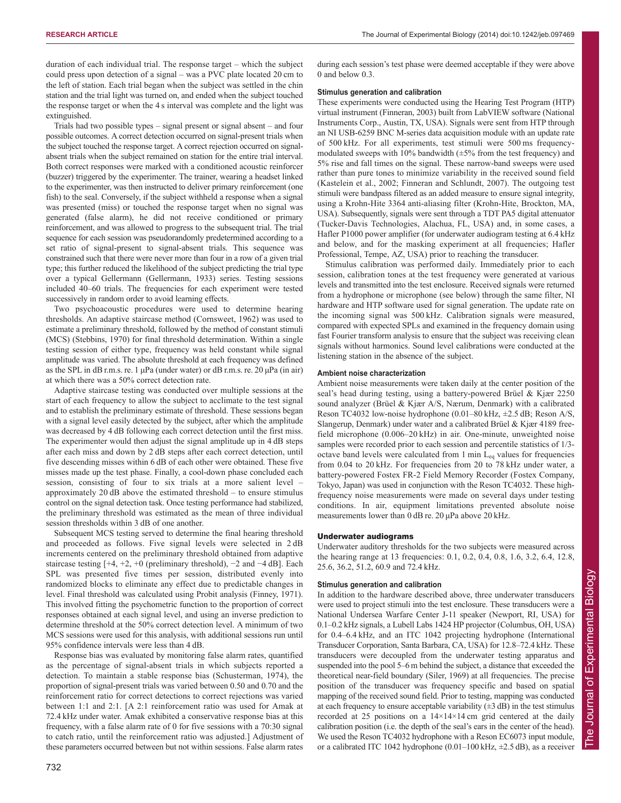duration of each individual trial. The response target – which the subject could press upon detection of a signal – was a PVC plate located 20 cm to the left of station. Each trial began when the subject was settled in the chin station and the trial light was turned on, and ended when the subject touched the response target or when the 4 s interval was complete and the light was extinguished.

Trials had two possible types – signal present or signal absent – and four possible outcomes. A correct detection occurred on signal-present trials when the subject touched the response target. A correct rejection occurred on signalabsent trials when the subject remained on station for the entire trial interval. Both correct responses were marked with a conditioned acoustic reinforcer (buzzer) triggered by the experimenter. The trainer, wearing a headset linked to the experimenter, was then instructed to deliver primary reinforcement (one fish) to the seal. Conversely, if the subject withheld a response when a signal was presented (miss) or touched the response target when no signal was generated (false alarm), he did not receive conditioned or primary reinforcement, and was allowed to progress to the subsequent trial. The trial sequence for each session was pseudorandomly predetermined according to a set ratio of signal-present to signal-absent trials. This sequence was constrained such that there were never more than four in a row of a given trial type; this further reduced the likelihood of the subject predicting the trial type over a typical Gellermann (Gellermann, 1933) series. Testing sessions included 40–60 trials. The frequencies for each experiment were tested successively in random order to avoid learning effects.

Two psychoacoustic procedures were used to determine hearing thresholds. An adaptive staircase method (Cornsweet, 1962) was used to estimate a preliminary threshold, followed by the method of constant stimuli (MCS) (Stebbins, 1970) for final threshold determination. Within a single testing session of either type, frequency was held constant while signal amplitude was varied. The absolute threshold at each frequency was defined as the SPL in dB r.m.s. re. 1  $\mu$ Pa (under water) or dB r.m.s. re. 20  $\mu$ Pa (in air) at which there was a 50% correct detection rate.

Adaptive staircase testing was conducted over multiple sessions at the start of each frequency to allow the subject to acclimate to the test signal and to establish the preliminary estimate of threshold. These sessions began with a signal level easily detected by the subject, after which the amplitude was decreased by 4 dB following each correct detection until the first miss. The experimenter would then adjust the signal amplitude up in 4 dB steps after each miss and down by 2 dB steps after each correct detection, until five descending misses within 6 dB of each other were obtained. These five misses made up the test phase. Finally, a cool-down phase concluded each session, consisting of four to six trials at a more salient level – approximately 20 dB above the estimated threshold – to ensure stimulus control on the signal detection task. Once testing performance had stabilized, the preliminary threshold was estimated as the mean of three individual session thresholds within 3 dB of one another.

Subsequent MCS testing served to determine the final hearing threshold and proceeded as follows. Five signal levels were selected in 2 dB increments centered on the preliminary threshold obtained from adaptive staircase testing [+4, +2, +0 (preliminary threshold), −2 and −4 dB]. Each SPL was presented five times per session, distributed evenly into randomized blocks to eliminate any effect due to predictable changes in level. Final threshold was calculated using Probit analysis (Finney, 1971). This involved fitting the psychometric function to the proportion of correct responses obtained at each signal level, and using an inverse prediction to determine threshold at the 50% correct detection level. A minimum of two MCS sessions were used for this analysis, with additional sessions run until 95% confidence intervals were less than 4 dB.

Response bias was evaluated by monitoring false alarm rates, quantified as the percentage of signal-absent trials in which subjects reported a detection. To maintain a stable response bias (Schusterman, 1974), the proportion of signal-present trials was varied between 0.50 and 0.70 and the reinforcement ratio for correct detections to correct rejections was varied between 1:1 and 2:1. [A 2:1 reinforcement ratio was used for Amak at 72.4 kHz under water. Amak exhibited a conservative response bias at this frequency, with a false alarm rate of 0 for five sessions with a 70:30 signal to catch ratio, until the reinforcement ratio was adjusted.] Adjustment of these parameters occurred between but not within sessions. False alarm rates during each session's test phase were deemed acceptable if they were above 0 and below 0.3.

#### **Stimulus generation and calibration**

These experiments were conducted using the Hearing Test Program (HTP) virtual instrument (Finneran, 2003) built from LabVIEW software (National Instruments Corp., Austin, TX, USA). Signals were sent from HTP through an NI USB-6259 BNC M-series data acquisition module with an update rate of 500 kHz. For all experiments, test stimuli were 500 ms frequencymodulated sweeps with 10% bandwidth  $(\pm 5\%$  from the test frequency) and 5% rise and fall times on the signal. These narrow-band sweeps were used rather than pure tones to minimize variability in the received sound field (Kastelein et al., 2002; Finneran and Schlundt, 2007). The outgoing test stimuli were bandpass filtered as an added measure to ensure signal integrity, using a Krohn-Hite 3364 anti-aliasing filter (Krohn-Hite, Brockton, MA, USA). Subsequently, signals were sent through a TDT PA5 digital attenuator (Tucker-Davis Technologies, Alachua, FL, USA) and, in some cases, a Hafler P1000 power amplifier (for underwater audiogram testing at 6.4 kHz and below, and for the masking experiment at all frequencies; Hafler Professional, Tempe, AZ, USA) prior to reaching the transducer.

Stimulus calibration was performed daily. Immediately prior to each session, calibration tones at the test frequency were generated at various levels and transmitted into the test enclosure. Received signals were returned from a hydrophone or microphone (see below) through the same filter, NI hardware and HTP software used for signal generation. The update rate on the incoming signal was 500 kHz. Calibration signals were measured, compared with expected SPLs and examined in the frequency domain using fast Fourier transform analysis to ensure that the subject was receiving clean signals without harmonics. Sound level calibrations were conducted at the listening station in the absence of the subject.

#### **Ambient noise characterization**

Ambient noise measurements were taken daily at the center position of the seal's head during testing, using a battery-powered Brüel & Kjær 2250 sound analyzer (Brüel & Kjær A/S, Nærum, Denmark) with a calibrated Reson TC4032 low-noise hydrophone (0.01–80 kHz, ±2.5 dB; Reson A/S, Slangerup, Denmark) under water and a calibrated Brüel & Kjær 4189 freefield microphone (0.006–20 kHz) in air. One-minute, unweighted noise samples were recorded prior to each session and percentile statistics of 1/3 octave band levels were calculated from 1 min  $L_{eq}$  values for frequencies from 0.04 to 20 kHz. For frequencies from 20 to 78 kHz under water, a battery-powered Fostex FR-2 Field Memory Recorder (Fostex Company, Tokyo, Japan) was used in conjunction with the Reson TC4032. These highfrequency noise measurements were made on several days under testing conditions. In air, equipment limitations prevented absolute noise measurements lower than 0 dB re. 20 μPa above 20 kHz.

## Underwater audiograms

Underwater auditory thresholds for the two subjects were measured across the hearing range at 13 frequencies: 0.1, 0.2, 0.4, 0.8, 1.6, 3.2, 6.4, 12.8, 25.6, 36.2, 51.2, 60.9 and 72.4 kHz.

## **Stimulus generation and calibration**

In addition to the hardware described above, three underwater transducers were used to project stimuli into the test enclosure. These transducers were a National Undersea Warfare Center J-11 speaker (Newport, RI, USA) for 0.1–0.2 kHz signals, a Lubell Labs 1424 HP projector (Columbus, OH, USA) for 0.4–6.4 kHz, and an ITC 1042 projecting hydrophone (International Transducer Corporation, Santa Barbara, CA, USA) for 12.8–72.4 kHz. These transducers were decoupled from the underwater testing apparatus and suspended into the pool 5–6 m behind the subject, a distance that exceeded the theoretical near-field boundary (Siler, 1969) at all frequencies. The precise position of the transducer was frequency specific and based on spatial mapping of the received sound field. Prior to testing, mapping was conducted at each frequency to ensure acceptable variability  $(\pm 3 \text{ dB})$  in the test stimulus recorded at 25 positions on a  $14\times14\times14$  cm grid centered at the daily calibration position (i.e. the depth of the seal's ears in the center of the head). We used the Reson TC4032 hydrophone with a Reson EC6073 input module, or a calibrated ITC 1042 hydrophone (0.01–100 kHz, ±2.5 dB), as a receiver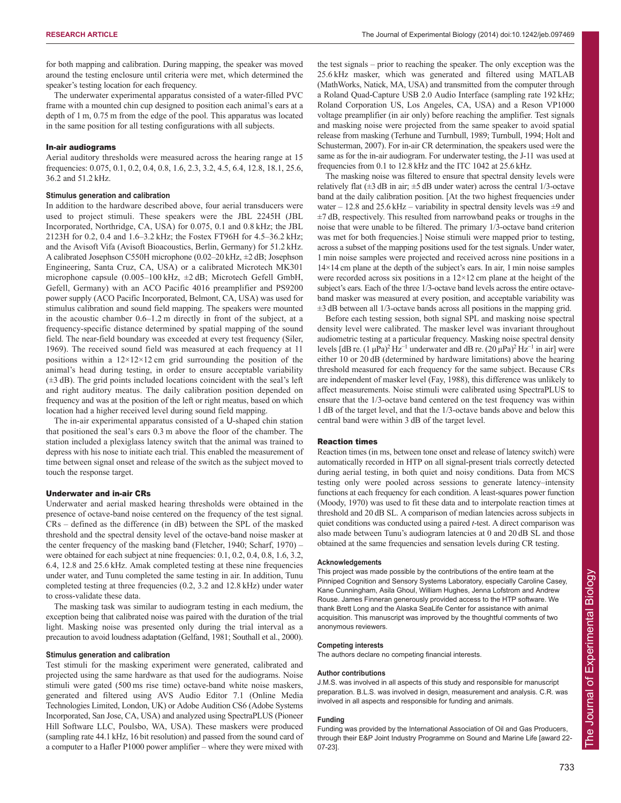for both mapping and calibration. During mapping, the speaker was moved around the testing enclosure until criteria were met, which determined the speaker's testing location for each frequency.

The underwater experimental apparatus consisted of a water-filled PVC frame with a mounted chin cup designed to position each animal's ears at a depth of 1 m, 0.75 m from the edge of the pool. This apparatus was located in the same position for all testing configurations with all subjects.

#### In-air audiograms

Aerial auditory thresholds were measured across the hearing range at 15 frequencies: 0.075, 0.1, 0.2, 0.4, 0.8, 1.6, 2.3, 3.2, 4.5, 6.4, 12.8, 18.1, 25.6, 36.2 and 51.2 kHz.

# **Stimulus generation and calibration**

In addition to the hardware described above, four aerial transducers were used to project stimuli. These speakers were the JBL 2245H (JBL Incorporated, Northridge, CA, USA) for 0.075, 0.1 and 0.8 kHz; the JBL 2123H for 0.2, 0.4 and 1.6–3.2 kHz; the Fostex FT96H for 4.5–36.2 kHz; and the Avisoft Vifa (Avisoft Bioacoustics, Berlin, Germany) for 51.2 kHz. A calibrated Josephson C550H microphone (0.02–20 kHz, ±2 dB; Josephson Engineering, Santa Cruz, CA, USA) or a calibrated Microtech MK301 microphone capsule (0.005–100 kHz, ±2 dB; Microtech Gefell GmbH, Gefell, Germany) with an ACO Pacific 4016 preamplifier and PS9200 power supply (ACO Pacific Incorporated, Belmont, CA, USA) was used for stimulus calibration and sound field mapping. The speakers were mounted in the acoustic chamber 0.6–1.2 m directly in front of the subject, at a frequency-specific distance determined by spatial mapping of the sound field. The near-field boundary was exceeded at every test frequency (Siler, 1969). The received sound field was measured at each frequency at 11 positions within a  $12 \times 12 \times 12$  cm grid surrounding the position of the animal's head during testing, in order to ensure acceptable variability (±3 dB). The grid points included locations coincident with the seal's left and right auditory meatus. The daily calibration position depended on frequency and was at the position of the left or right meatus, based on which location had a higher received level during sound field mapping.

The in-air experimental apparatus consisted of a U-shaped chin station that positioned the seal's ears 0.3 m above the floor of the chamber. The station included a plexiglass latency switch that the animal was trained to depress with his nose to initiate each trial. This enabled the measurement of time between signal onset and release of the switch as the subject moved to touch the response target.

#### Underwater and in-air CRs

Underwater and aerial masked hearing thresholds were obtained in the presence of octave-band noise centered on the frequency of the test signal. CRs – defined as the difference (in dB) between the SPL of the masked threshold and the spectral density level of the octave-band noise masker at the center frequency of the masking band (Fletcher, 1940; Scharf, 1970) – were obtained for each subject at nine frequencies: 0.1, 0.2, 0.4, 0.8, 1.6, 3.2, 6.4, 12.8 and 25.6 kHz. Amak completed testing at these nine frequencies under water, and Tunu completed the same testing in air. In addition, Tunu completed testing at three frequencies (0.2, 3.2 and 12.8 kHz) under water to cross-validate these data.

The masking task was similar to audiogram testing in each medium, the exception being that calibrated noise was paired with the duration of the trial light. Masking noise was presented only during the trial interval as a precaution to avoid loudness adaptation (Gelfand, 1981; Southall et al., 2000).

#### **Stimulus generation and calibration**

Test stimuli for the masking experiment were generated, calibrated and projected using the same hardware as that used for the audiograms. Noise stimuli were gated (500 ms rise time) octave-band white noise maskers, generated and filtered using AVS Audio Editor 7.1 (Online Media Technologies Limited, London, UK) or Adobe Audition CS6 (Adobe Systems Incorporated, San Jose, CA, USA) and analyzed using SpectraPLUS (Pioneer Hill Software LLC, Poulsbo, WA, USA). These maskers were produced (sampling rate 44.1 kHz, 16 bit resolution) and passed from the sound card of a computer to a Hafler P1000 power amplifier – where they were mixed with the test signals – prior to reaching the speaker. The only exception was the 25.6 kHz masker, which was generated and filtered using MATLAB (MathWorks, Natick, MA, USA) and transmitted from the computer through a Roland Quad-Capture USB 2.0 Audio Interface (sampling rate 192 kHz; Roland Corporation US, Los Angeles, CA, USA) and a Reson VP1000 voltage preamplifier (in air only) before reaching the amplifier. Test signals and masking noise were projected from the same speaker to avoid spatial release from masking (Terhune and Turnbull, 1989; Turnbull, 1994; Holt and Schusterman, 2007). For in-air CR determination, the speakers used were the same as for the in-air audiogram. For underwater testing, the J-11 was used at frequencies from 0.1 to 12.8 kHz and the ITC 1042 at 25.6 kHz.

The masking noise was filtered to ensure that spectral density levels were relatively flat  $(\pm 3$  dB in air;  $\pm 5$  dB under water) across the central 1/3-octave band at the daily calibration position. [At the two highest frequencies under water – 12.8 and 25.6 kHz – variability in spectral density levels was  $\pm$ 9 and  $\pm$ 7 dB, respectively. This resulted from narrowband peaks or troughs in the noise that were unable to be filtered. The primary 1/3-octave band criterion was met for both frequencies.] Noise stimuli were mapped prior to testing, across a subset of the mapping positions used for the test signals. Under water, 1 min noise samples were projected and received across nine positions in a 14×14 cm plane at the depth of the subject's ears. In air, 1 min noise samples were recorded across six positions in a  $12 \times 12$  cm plane at the height of the subject's ears. Each of the three 1/3-octave band levels across the entire octaveband masker was measured at every position, and acceptable variability was ±3 dB between all 1/3-octave bands across all positions in the mapping grid.

Before each testing session, both signal SPL and masking noise spectral density level were calibrated. The masker level was invariant throughout audiometric testing at a particular frequency. Masking noise spectral density levels  $[dB$  re.  $(1 \mu Pa)^2 Hz^{-1}$  underwater and dB re.  $(20 \mu Pa)^2 Hz^{-1}$  in air] were either 10 or 20 dB (determined by hardware limitations) above the hearing threshold measured for each frequency for the same subject. Because CRs are independent of masker level (Fay, 1988), this difference was unlikely to affect measurements. Noise stimuli were calibrated using SpectraPLUS to ensure that the 1/3-octave band centered on the test frequency was within 1 dB of the target level, and that the 1/3-octave bands above and below this central band were within 3 dB of the target level.

### Reaction times

Reaction times (in ms, between tone onset and release of latency switch) were automatically recorded in HTP on all signal-present trials correctly detected during aerial testing, in both quiet and noisy conditions. Data from MCS testing only were pooled across sessions to generate latency–intensity functions at each frequency for each condition. A least-squares power function (Moody, 1970) was used to fit these data and to interpolate reaction times at threshold and 20 dB SL. A comparison of median latencies across subjects in quiet conditions was conducted using a paired *t*-test. A direct comparison was also made between Tunu's audiogram latencies at 0 and 20 dB SL and those obtained at the same frequencies and sensation levels during CR testing.

#### **Acknowledgements**

This project was made possible by the contributions of the entire team at the Pinniped Cognition and Sensory Systems Laboratory, especially Caroline Casey, Kane Cunningham, Asila Ghoul, William Hughes, Jenna Lofstrom and Andrew Rouse. James Finneran generously provided access to the HTP software. We thank Brett Long and the Alaska SeaLife Center for assistance with animal acquisition. This manuscript was improved by the thoughtful comments of two anonymous reviewers.

#### **Competing interests**

The authors declare no competing financial interests.

#### **Author contributions**

J.M.S. was involved in all aspects of this study and responsible for manuscript preparation. B.L.S. was involved in design, measurement and analysis. C.R. was involved in all aspects and responsible for funding and animals.

#### **Funding**

Funding was provided by the International Association of Oil and Gas Producers, through their E&P Joint Industry Programme on Sound and Marine Life [award 22- 07-23].